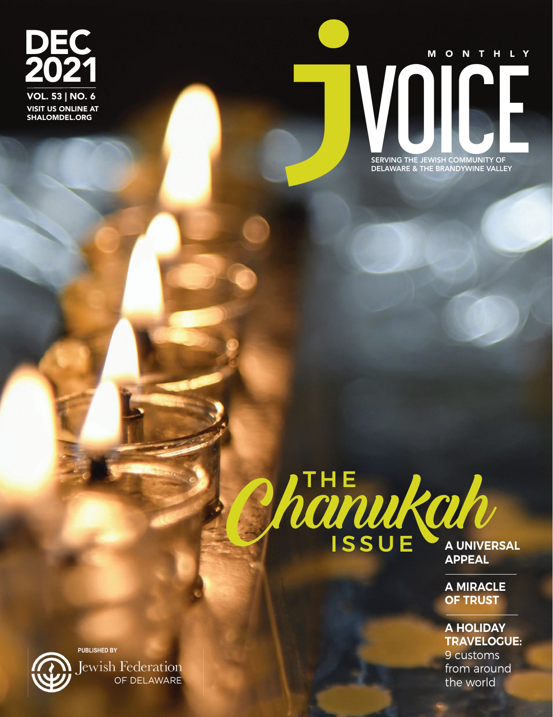DEC 2021 VISIT US ONLINE AT SHALOMDEL.ORG VOL. 53 | NO. 6





**A MIRACLE OF TRUST**

**A HOLIDAY TRAVELOGUE:** 9 customs from around



**PUBLISHED BY Lewish Federation** OF DELAWARE the world